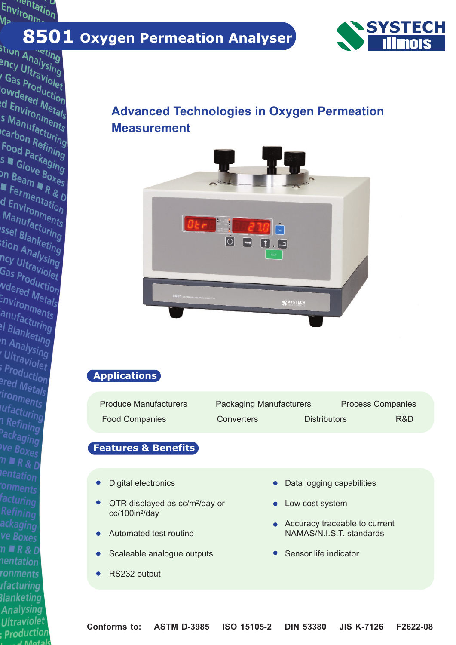wentation

# Environ<sub>mentation</sub><br>Martinhon<sub>mentation</sub><br>St<sub>iun As</sub>teri<sub>ng</sub>



**Analysing<br>Phcy Ultraviolat**<br>Gas Product:<br>Owd. **Try Ultraviolation**<br>Sas Production<br>Owdered Uction<br>Id Fn. . . . Mo **Cas Production<br>Owdered Metals<br>Id Environ Metals<br>S Man Onmen's** owdered Metals<br><sup>!d Environmetals<br>s Manufacturis<br><sup>)Carbo</sup></sup> **Carbon Metals**<br>S Manufacturing<br>Carbon Refining<br>Food Pefining ™an<sub>ufa</sub>r…ents<br>Carbon Refining<br>Food packaning<br>s ■ Glackani. **Carbon Refining<br>Food Packaging<br>S Glove Boys**<br>Ph Rocke Boys S a Glove Boxes<br>
The Glove Boxes<br>
The Boxes<br>
The The Rest T Glove Boxes<br><sup>Dn</sup> Beam ■ R & D<br>■ Fermentati<br>d Fn. : <sup>entati</sup> The Beam Thes<br>Thermentation<br>d Environmentation **dermentation**<br>denvironments<br>Manufacturis<br>Ssol - <sup>acturis</sup> a Environments<br>Manufacturing<br>Ssel Blankes:<br>Ition Plankes: inanufacturing<br>Ssel Blanketing<br>Tion Analvsi<br>Pruta Palvsi sser Blanketing<br>ition Analysing<br>ncy Ultraviol nan An<sub>alysing</sub><br>ncy Ultraviolet<br><sup>Gas p</sup>roducet --y Ultraving<br>Gas production<br><sup>N</sup>dered Mox as Production<br><sup>W</sup>dered Metals<br>Environme Environ Metals<br><sup>Environments</sup><br><sup>|anufactur:</sup> anufacturing<br>anufacturing<br><sup>al</sup> Blankos: <sup>91</sup>aracturing<br><sup>91</sup> Blanketing<br><sup>91</sup> Analyst n Analketing<br><sup>In</sup> Analysing<br>' Ultraviat ' Ultralysing<br><sup>' Ultraviolet<br>' Product</sup> <sup>-----</sup>aviolet<br>Production<br><sup>e</sup>red <sub>Mac</sub>ion <sup>ered</sup> Metals<br><sup>ered</sup> Metals 'ironments<br>Iufact ufacturing<br>n Rofi n Refining<br>Packaning <sup>D</sup>ackaging<br><sup>Dackaging</sup>  $\frac{w}{\text{p}}$ <br> $\frac{w}{\text{p}} = \frac{w}{\text{p}}$  $n \equiv R \& D$ facturing ackaging n ■ R & D nentation ronments *ifacturing* 3 lanketing Analysing **Ultraviolet** *Froduction*  $J$ Matal

# **Advanced Technologies in Oxygen Permeation Measurement**



## **Applications**

| <b>Produce Manufacturers</b> | <b>Packaging Manufacturers</b> |                     | <b>Process Companies</b> |
|------------------------------|--------------------------------|---------------------|--------------------------|
| <b>Food Companies</b>        | <b>Converters</b>              | <b>Distributors</b> | R&D                      |

## **Features & Benefits**

- Digital electronics
- OTR displayed as cc/m<sup>2</sup>/day or cc/100in2/day
- Automated test routine
- Scaleable analogue outputs
- RS232 output
- Data logging capabilities
- Low cost system
- Accuracy traceable to current NAMAS/N I S T\_standards
- Sensor life indicator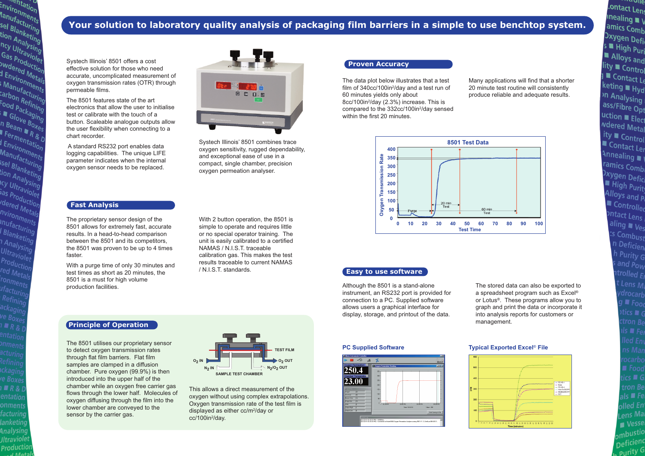Systech Illinois' 8501 offers a cost effective solution for those who need accurate, uncomplicated measurement of oxygen transmission rates (OTR) through permeable films.

Environtation<br>lanufactuents<br>sel ri<sup>acturi</sup>s

-TVIronments<br>| anufacturing<br>| sel Blanket:<br>| ionket:

anufacturints<br>sel Blanketing<br>tion Anketing<br>ncurralver

sel Blanketing<br>tion Analysing<br>ncy Ultraving<br>Gas Product<br>Wed Product

**The Ultraving<br>Gas Production**<br>Dwdered In<br>I F. Fed In

<sup>Jas p</sup>roduction<br><sup>DWdered Metion<br>d Environmetals<br>i M.</sup>

swaered Metals<br>d Environmetals<br>i Manufact...<br><sup>cark</sup>

" <sup>Environmetals<br><sup>S</sup> Manufacturits<br><sup>Carbon Refuring</sup></sup>

*Carbon Refuring*<br>Carbon Refining<br>Food Packacing<br>Food Packacing

**Example 1998**<br>In Beam a Boxes<br>In Beam a Boxes

T Glove Boxes<br>In Beam TR & D<br>T Fermentas D

**Seam Axes**<br>Fermentation<br>I Environmentation<br>Mac

1 Environtation<br>Manufarments<br>Manufacturits

' <u>cnvironments</u><br>Manufacturing<br><sup>Ssel</sup> Blankovi<sup>ng</sup>

sanufacturints<br><sup>Ssel</sup> Blanketing<br><sup>Lion</sup> Anah

ser Blanketing<br>tion Analysing<br><sup>IC</sup>Y Ultravising

<sup>on Analysing</sup><br>Icy Ultraving<br><sup>Tas p</sup>rod.

--- Ultraviolet<br><sup>Tas p</sup>roduction<br><sup>Idered Ma</sub></sup>

*r-coduction*<br>dered Metals<br>nvironn

nvironments<br><sup>hvironments</sup><br><sup>inuf</sup>act

nun<sub>ments</sub><br>Inufacturing<br>I Blank

I Blanketing<br>I Blanketing<br>1 Analysi

n Analysing<br>1 Analysing<br>Ultraw

Ultraviolet<br>Product

Production

red Metals<br>red Metals

ironments<br><sup>Ifa</sup>ct

ufacturing

Refining<br>Petining

ackaging<br>''

ve Boxes

 $1 \blacksquare$   $R \& L$ 

onments

e Boxe

 $1 M R 8 I$ 

entation

onments facturing

lanketing

**Analysing** 

**JItraviole** 

**Production** 

 $-4$  Mat

The 8501 features state of the art electronics that allow the user to initialise test or calibrate with the touch of a button. Scaleable analogue outputs allow the user flexibility when connecting to a chart recorder.

A standard RS232 port enables data logging capabilities. The unique LIFE parameter indicates when the internal oxygen sensor needs to be replaced.



Systech Illinois' 8501 combines trace oxygen sensitivity, rugged dependability, and exceptional ease of use in a compact, single chamber, precision oxygen permeation analyser.

The 8501 utilises our proprietary sensor to detect oxygen transmission rates through flat film barriers. Flat film samples are clamped in a diffusion chamber. Pure oxygen (99.9%) is then introduced into the upper half of the chamber while an oxygen free carrier gas flows through the lower half. Molecules of oxygen diffusing through the film into the lower chamber are conveyed to the sensor by the carrier gas.

## **Fast Analysis**

## **Principle of Operation**

This allows a direct measurement of the oxygen without using complex extrapolations. Oxygen transmission rate of the test film is displayed as either cc/m<sup>2</sup>/day or cc/100in2/day.



The proprietary sensor design of the 8501 allows for extremely fast, accurate results. In a head-to-head comparison between the 8501 and its competitors, the 8501 was proven to be up to 4 times faster.

With a purge time of only 30 minutes and test times as short as 20 minutes, the 8501 is a must for high volume production facilities.

# **Your solution to laboratory quality analysis of packa aging film barriers in a simple to use benchtop system.**

With 2 button operation, the 8501 is simple to operate and requires little or no special operator training. The unit is easily calibrated to a certified NAMAS / N.I.S.T. traceable calibration gas. This makes the test results traceable to current NAMAS / N.I.S.T. standards.



Although the 8501 is a stand-alone instrument, an RS232 port is provided for connection to a PC. Supplied software allows users a graphical interface for display, storage, and printout of the data.

The stored data can also be exported to a spreadsheet program such as Excel® or Lotus®. These programs allow you to graph and print the data or incorporate it into analysis reports for customers or management.



סווט יי יי **Ontact Lens**  $\frac{1}{2}$  inealing  $\blacksquare$ amics Comb Dxygen Defi  $S \blacksquare$  High Puri Alloys and lity ■ Control  $\overline{\mathbf{J}}$   $\blacksquare$  Contact Le keting Hyd <sup>n</sup> Analysing ass/Fibre Opt <u>uction</u> ■ Elect Morred Metal ity ■ Control Contact Ler Annealing ramics Combi **Dxygen Defici** High Purity Alloys and P  $\blacksquare$  Controlled ontact Lens aling  $\blacksquare$   $V_{\text{es}}$ <sup>cs</sup> Combust n Deficien h Purity G and  $P_{OW}$ <sup>ntrolled</sup> Er t Lens Ma ydrocarb  $g \equiv F_{OOC}$  $v$ tics  $\blacksquare$  G ctron Be ıls ■ Fer lled En ns Man ocarbo Food  $ics \blacksquare G$ tron Be  $s \equiv Fe$ alled En  $en<sub>s</sub>$  Ma  $\sqrt{\ }$  Vesse mbustio Deficienc  $\frac{p}{p}$  purity G

## **Easy to use software**

## **Proven Accuracy**

The data plot below illustrates that a test film of 340cc/100in<sup>2</sup>/day and a test run of 60 minutes yields only about 8cc/100in<sup>2</sup>/day (2.3%) increase. This is compared to the 332cc/100in<sup>2</sup>/day sensed within the first 20 minutes.

Many applications will find that a shorter 20 minute test routine will consistently produce reliable and adequate results.

### **PC Supplied Software Typical Exported Excel**® **File**